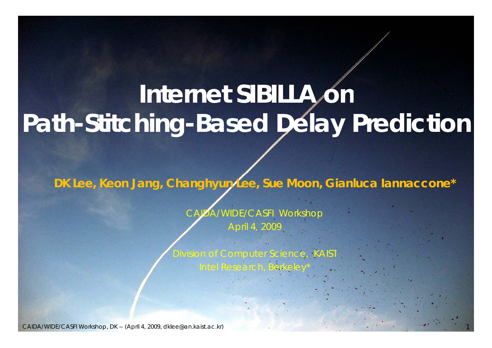#### **Internet SIBILLA on Path-Stitchin g-Based Dela y Prediction**

**DK Lee, Keon Jang, Changhyun Lee, Sue Moon, Gianluca Iannaccone\***

**Workshop** April 4, 2009

Division of Computer Science, KAIST

Intel Research, Berkeley\*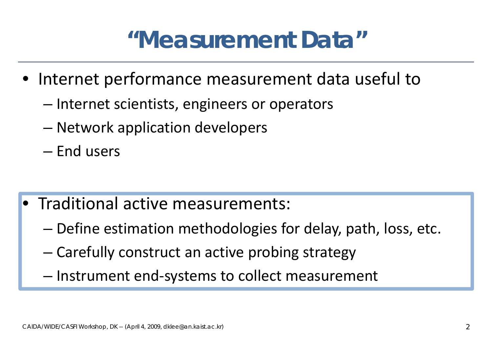#### **"Measurement Data"**

- Internet performance measurement data useful to
	- –– Internet scientists, engineers or operators
	- Network application develo pers
	- End users
- Traditional active measurements:
	- –Define estimation methodologies for delay, path, loss, etc.
	- –Carefully construct an active probing strategy
	- Instrument end ‐systems to collect measurement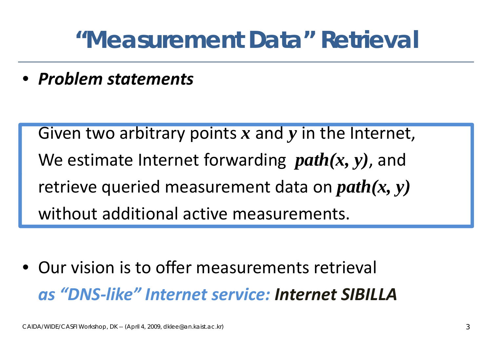#### **"Measurement Data" Retrieval**

• *Problem statements*

Given two arbitrary points x and y in the Internet, We estimate Internet forwarding *path(x, y)* , and retrieve queried measurement data on *path(x, y)* without additional active measurements.

• Our vision is to offer measurements retrieval *as "DNS like" Internet service: Internet SIBILLA‐*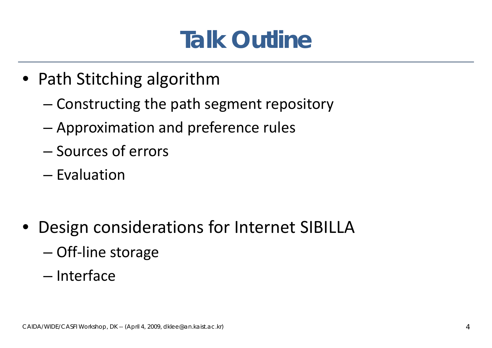#### **Talk Outline**

- Path Stitching algorithm
	- – $-$  Constructing the path segment repository
	- –Approximation and preference rules
	- Sources of errors
	- Evaluation
- $\bullet$  Design considerations for Internet SIBILLA
	- –Off‐line storage
	- Interface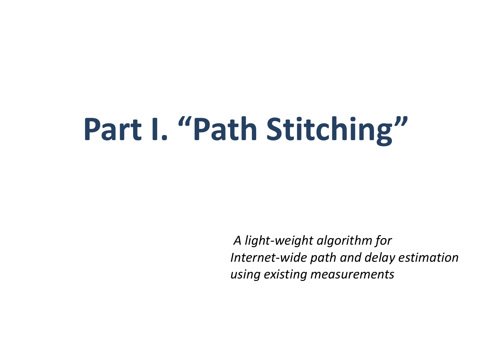# **Part I.** "Path Stitching"

*A light‐weight algorithm for Internet‐wide path and d l <sup>e</sup> ay esti i mat on using existing measurements*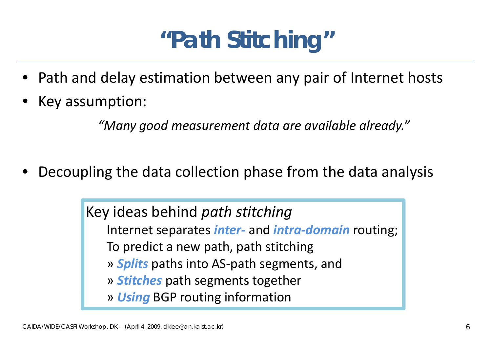#### **"Path Stitching"**

- Path and delay estimation between any pair of Internet hosts
- •Key assumption:

*"Many good measurement data are available already."*

•Decoupling the data collection phase from the data analysis

> Key ideas behind *path stitching* Internet separates *inter ‐* and *intra ‐domain* routing; To predict a new path, path stitching » *Splits* paths into AS ‐path segments, and » *Stitches* path segments together » **Using** BGP routing information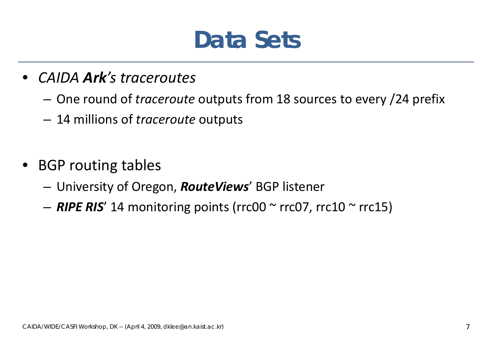#### **Data Sets**

- *CAIDA Ark's traceroutes*
	- –One round of *traceroute* outputs from 18 sources to every /24 prefix
	- 14 millions of *traceroute* outputs
- $\bullet$ • BGP routing tables
	- –University of Oregon, *RouteViews*' BGP listener
	- –*RIPE RIS*' 14 monitoring points (rrc00 <sup>~</sup> rrc07, rrc10 <sup>~</sup> rrc15)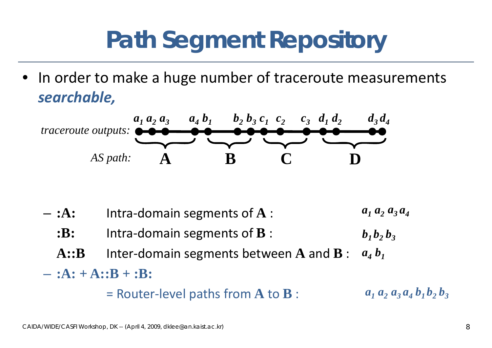### **Path Segment Repository**

• In order to make a huge number of traceroute measurements *searchable,*



**:A:**– $-$  :A: Intra-domain segments of  $A$  :  $a_1 a_2 a_3$ *1a 23a 4***:B::** Intra-domain segments of **B** : **A::B** Inter domain segments between **A** and **B** : ‐*a b 41* $b_1 b_2 b_3$ – **:A: + A::B + :B:**   $=$  Router-level paths from  $\mathbf A$  to  $\mathbf B$  :  $a_1 a_2 a_3 a_4 b_1 b_2 b_3$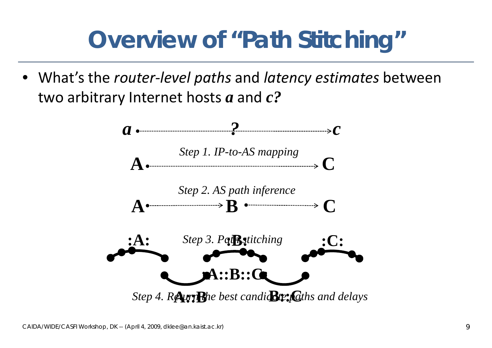#### **Overview of "Path Stitching"**

• What's the *router ‐level paths* and *latency estimates* between two arbitrary Internet hosts *a* and *c ?*

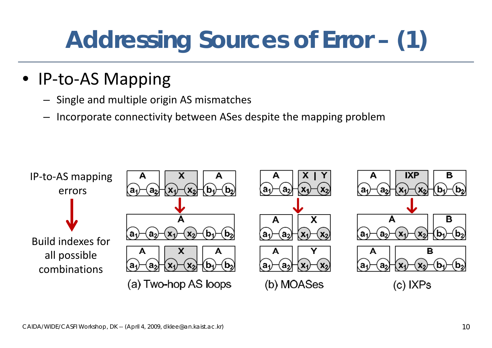## **Addressing Sources of Error – (1)**

- IP-to-AS Mapping
	- Single and multiple origin AS mismatches
	- –Incorporate connectivity between ASes despite the mapping problem

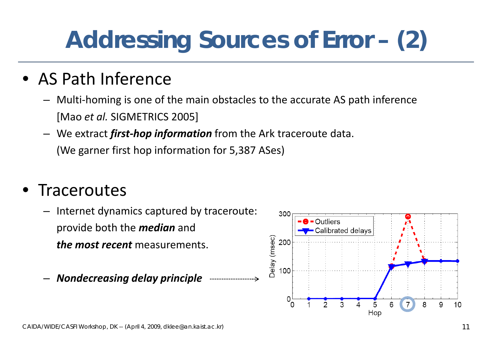## **Addressing Sources of Error – (2)**

#### • AS Path Inference

- Multi ‐homing is one of the main obstacles to the accurate AS path inference [Mao *et al.* SIGMETRICS 2005]
- We extract *first ‐hop information* from the Ark traceroute data. (We garner first hop information for 5,387 ASes)

#### $\bullet$ • Traceroutes

- –Internet dynamics captured by traceroute: provide both the *median* and *the most recent* measurements.
- –*Nondecreasing delay principle*

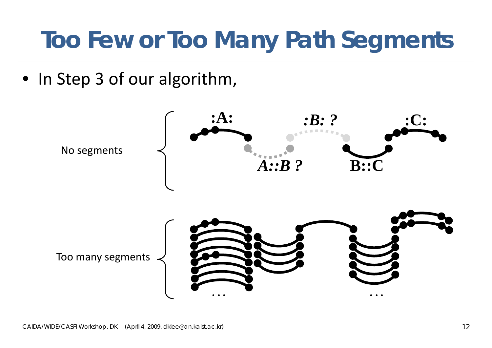#### **Too Few or Too Many Path Segments**

• In Step 3 of our algorithm,

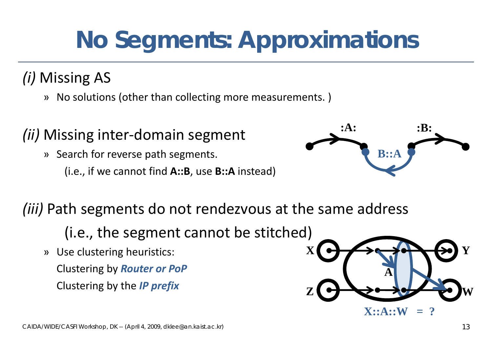## **No Segments: Approximations**

#### *(i)* Missing AS

» No solutions (other than collecting more measurements.)

#### *(ii)* Missing inter domain segment **:A: :B:** -UUIIIdIII SEKIIIEII

- » Search for reverse path segments.
	- (i.e., if we cannot find **A::B**, use **B::A** instead)



#### *(iii)* Path segments do not rendezvous at the same address

- (i.e., the segment cannot be stitched)
- » Use clustering heuristics: Clustering by *Router or PoP* Clustering by the *IP prefix*

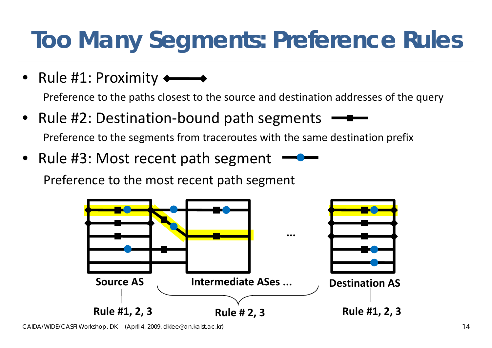## **Too Many Segments: Preference Rules**

• Rule #1: Proximity

Preference to the paths closest to the source and destination addresses of the query

- Rule #2: Destination-bound path segments Preference to the segments from traceroutes with the same destination prefix
- Rule #3: Most recent path segment

Preference to the most recent path segment



*CAIDA/WIDE/CASFI Workshop, DK -- (April 4, 2009, dklee@an.kaist.ac.kr)* 14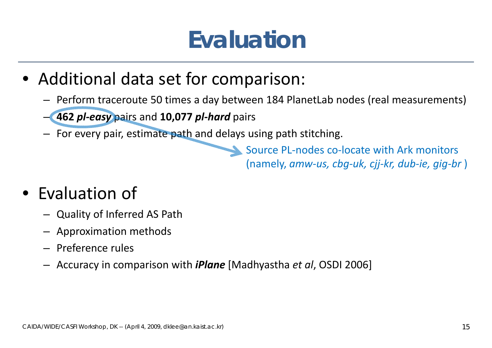#### **Evaluation**

- Additional data set for comparison:
	- Perform traceroute 50 times <sup>a</sup> day between 184 PlanetLab nodes (real measurements)
	- **462** *pl‐easy* pairs and **10,077** *pl‐hard* pairs
	- –For every pair, estimate path and delays using path stitching.

Source PL‐nodes co‐locate with Ark monitors (namely, *amw‐us, cbg‐uk, cjj‐kr, dub‐ie, gig‐br* )

#### • Evaluation of

- Quality of Inferred AS Path
- Approximation methods
- Preference rules
- Accuracy in comparison with *iPlane* [Madhyastha *et al*, OSDI 2006]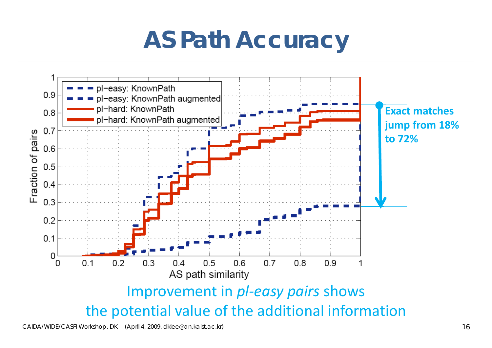#### **AS Path Accuracy**

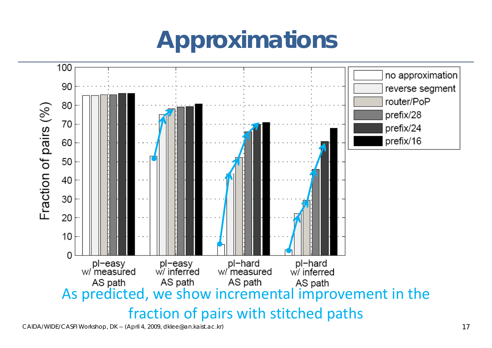### **Approximations**

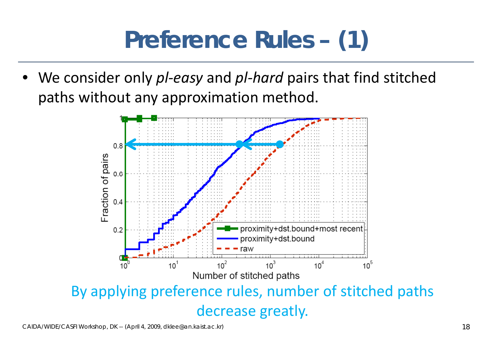### **Preference Rules – (1)**

• We consider only *pl-easy* and *pl-hard* pairs that find stitched paths without any approximation method.



decrease greatly.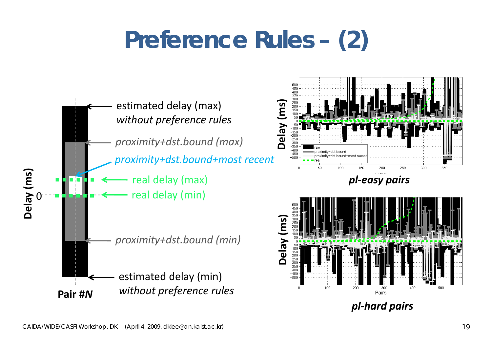### **Preference Rules – (2)**

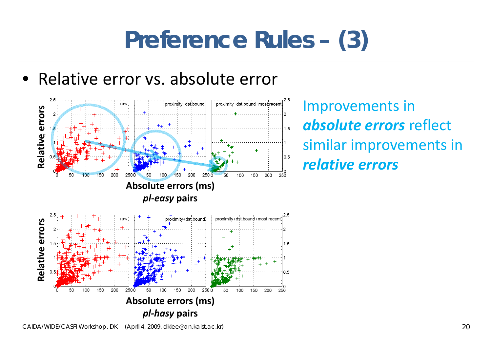#### **Preference Rules – (3)**

• Relative error vs. absolute error



**Relative Similar improvements in** *errors*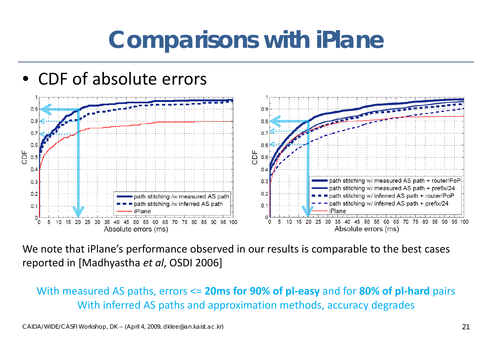#### **Comparisons with iPlane**





We note that iPlane's performance observed in our results is comparable to the best cases reported in [Madhyastha *et al*, OSDI 2006]

With measured AS paths, errors <= 20ms for 90% of pl-easy and for 80% of pl-hard pairs With inferred AS paths and approximation methods, accuracy degrades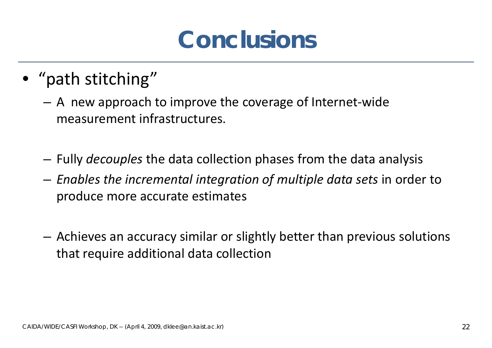#### **Conclusions**

- "path stitching"
	- A new approach to improve the coverage of Internet‐wide measurement infrastructures.
	- –Fully *decouples* the data collection phases from the data analysis
	- *Enables the incremental integration of multiple data sets* in order to produce more accurate estimates
	- – Achieves an accuracy similar or slightly better than previous solutions that require additional data collection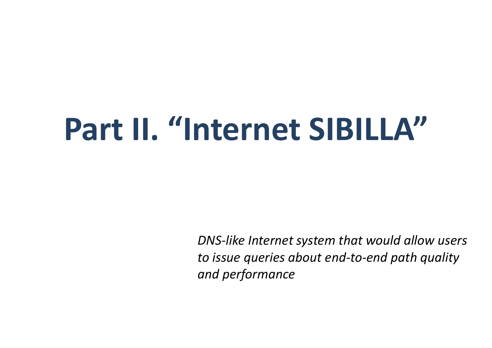# **Part II. "Internet SIBILLA"**

*DNS‐like Internet system that would allow users to issue queries about end‐to‐end path quality and performance*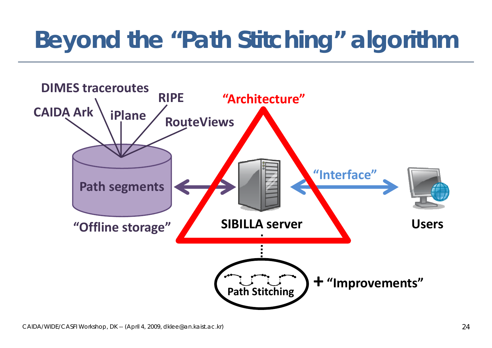### **Beyond the "Path Stitching" algorithm**

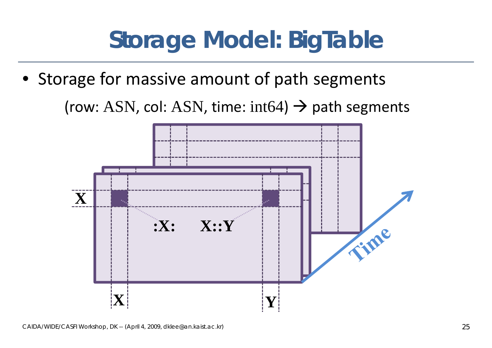#### **Storage Model: BigTable**

• Storage for massive amount of path segments (row: ASN, col: ASN, time: int64)  $\rightarrow$  path segments

> **GByte 2X:X: X::Y**Time **XY**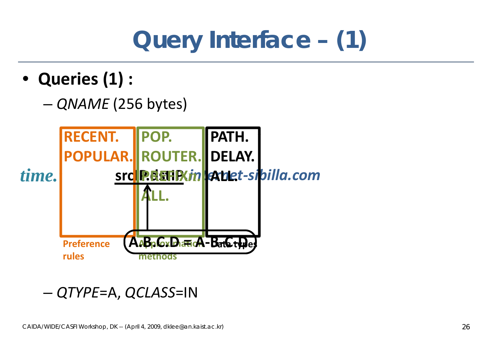## **Query Interface – (1)**

- **Queries (1) :**
	- –*QNAM E* (256 bytes)



#### *QTYPE*=A *QCLASS*=IN –— QTYPE=A,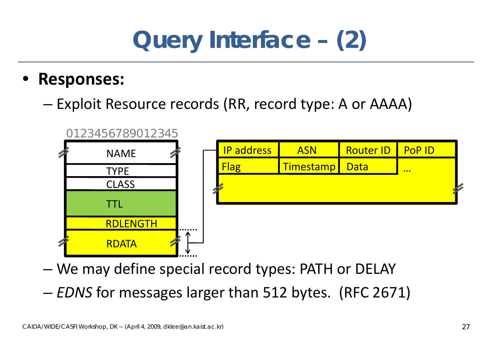#### **Query Interface – (2)**

#### •**Responses:**

–Exploit Resource records (RR, record type: A or AAAA)



- –We may define special record types: PATH or DELAY
- –*EDNS* for messages larger than 512 bytes. (RFC 2671)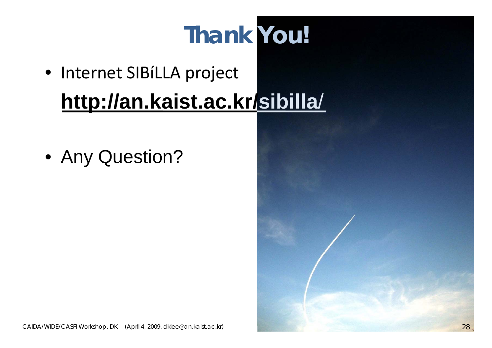## **Thank You!**

- Internet SIBíLLA project **htt // k i t k / http://an.kaist.ac.kr/sibilla**/
- Any Question?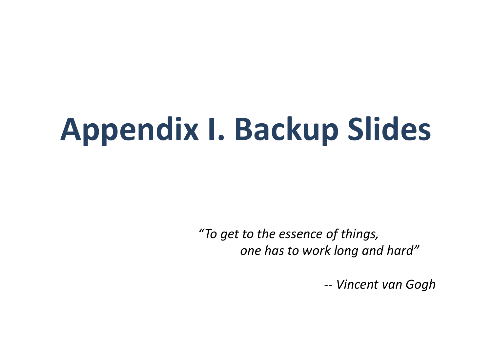# **Appendix I. Backup Slides**

*"To get to the essence of things, one has to work long and hard"*

*‐‐ Vincent van Gogh*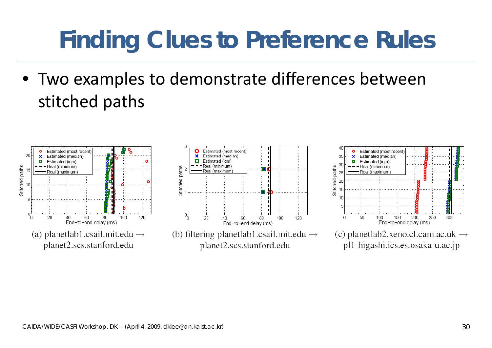#### **Finding Clues to Preference Rules**

• Two examples to demonstrate differences between stitched paths



planet2.scs.stanford.edu



(b) filtering planetlab1.csail.mit.edu  $\rightarrow$ planet2.scs.stanford.edu



(c) planetlab2.xeno.cl.cam.ac.uk  $\rightarrow$ pl1-higashi.ics.es.osaka-u.ac.jp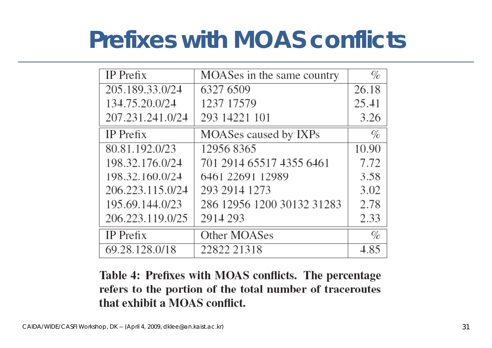#### **Prefixes with MOAS conflicts**

| IP Prefix        | MOASes in the same country | %     |
|------------------|----------------------------|-------|
| 205.189.33.0/24  | 6327 6509                  | 26.18 |
| 134.75.20.0/24   | 1237 17579                 | 25.41 |
| 207.231.241.0/24 | 293 14221 101              | 3.26  |
| IP Prefix        | MOASes caused by IXPs      | $\%$  |
| 80.81.192.0/23   | 12956 8365                 | 10.90 |
| 198.32.176.0/24  | 701 2914 65517 4355 6461   | 7.72  |
| 198.32.160.0/24  | 6461 22691 12989           | 3.58  |
| 206.223.115.0/24 | 293 2914 1273              | 3.02  |
| 195.69.144.0/23  | 286 12956 1200 30132 31283 | 2.78  |
| 206.223.119.0/25 | 2914 293                   | 2.33  |
| $IP$ Prefix      | Other MOASes               | %     |
| 69.28.128.0/18   | 22822 21318                | 4.85  |

Table 4: Prefixes with MOAS conflicts. The percentage refers to the portion of the total number of traceroutes that exhibit a MOAS conflict.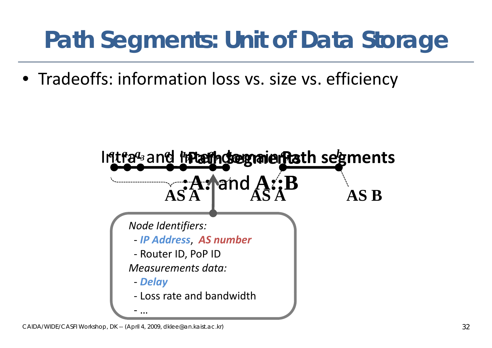### **Path Segments: Unit of Data Storage**

• Tradeoffs: information loss vs. size vs. efficiency

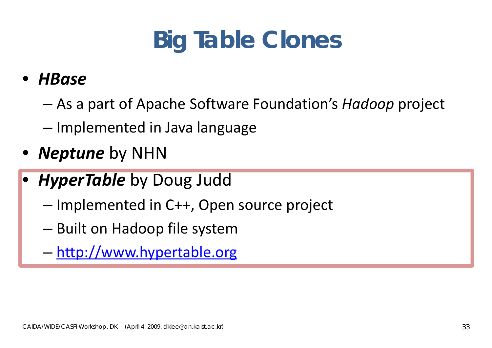

•*HBase*

- As a part of Apache Software Foundation's *Hadoop* project
- Implemented in Java language
- $\bullet$ *Neptune* by NHN
- $\bullet$ **• HyperTable** by Doug Judd
	- – $-$  Implemented in C++, Open source project
	- – $-$  Built on Hadoop file system
	- –http://www.hypertable.org http://www.hypertable.org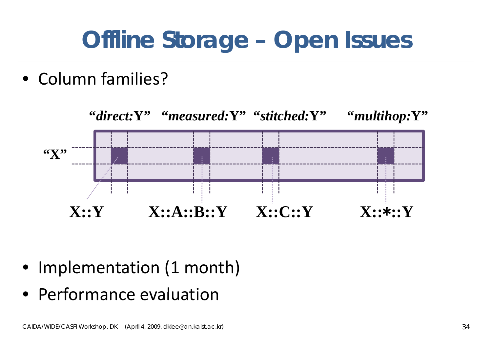#### **Offline Storage – Open Issues**

• Column families?



- Implementation (1 month)
- Performance evaluation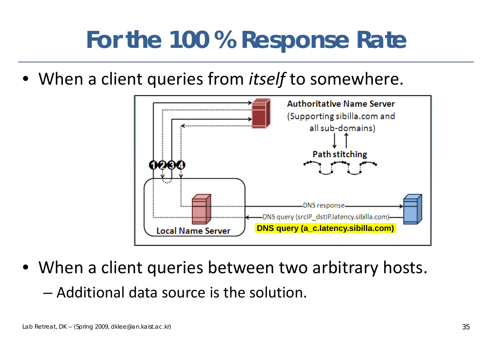#### **For the 100 % Response Rate**

• When a client queries from *itself* to somewhere.



• When a client queries between two arbitrary hosts.  $-$  Additional data source is the solution.